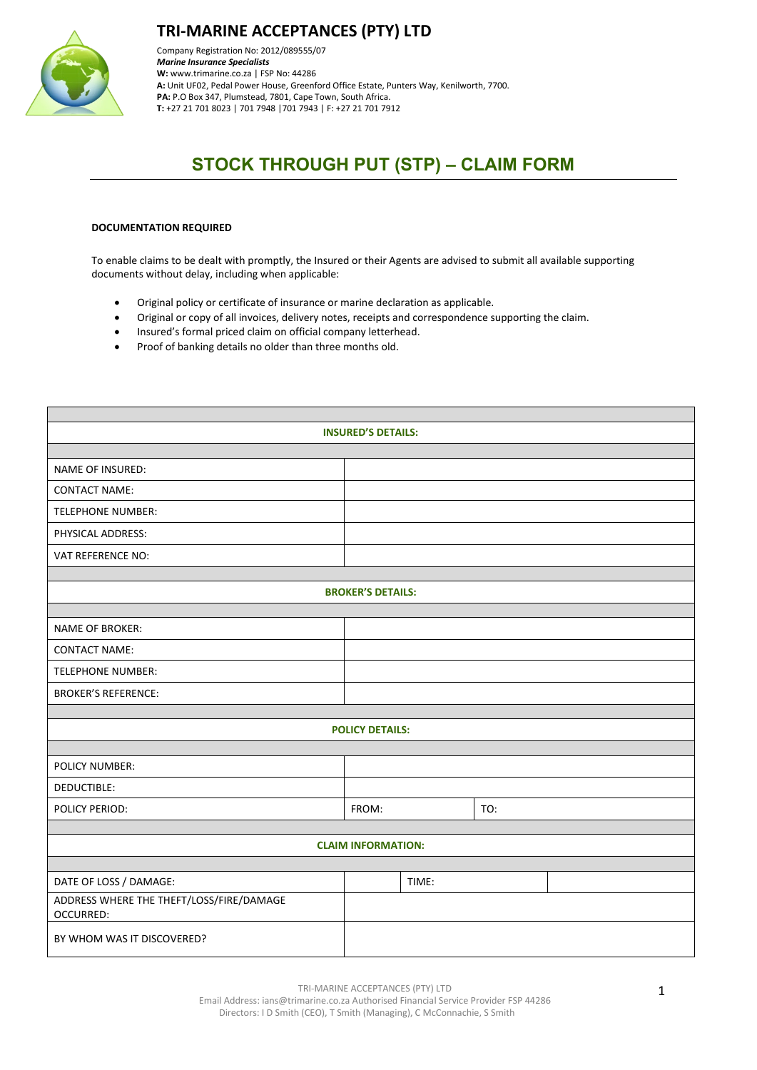

### **TRI-MARINE ACCEPTANCES (PTY) LTD**

Company Registration No: 2012/089555/07 *Marine Insurance Specialists*  **W:** [www.trimarine.co.za](http://www.trimarine.co.za/) | FSP No: 44286 **A:** Unit UF02, Pedal Power House, Greenford Office Estate, Punters Way, Kenilworth, 7700. **PA:** P.O Box 347, Plumstead, 7801, Cape Town, South Africa. **T:** +27 21 701 8023 | 701 7948 |701 7943 | F: +27 21 701 7912

# **STOCK THROUGH PUT (STP) – CLAIM FORM**

#### **DOCUMENTATION REQUIRED**

To enable claims to be dealt with promptly, the Insured or their Agents are advised to submit all available supporting documents without delay, including when applicable:

- Original policy or certificate of insurance or marine declaration as applicable.
- Original or copy of all invoices, delivery notes, receipts and correspondence supporting the claim.
- Insured's formal priced claim on official company letterhead.
- Proof of banking details no older than three months old.

| <b>INSURED'S DETAILS:</b>                             |                           |       |     |  |  |  |  |
|-------------------------------------------------------|---------------------------|-------|-----|--|--|--|--|
|                                                       |                           |       |     |  |  |  |  |
| <b>NAME OF INSURED:</b>                               |                           |       |     |  |  |  |  |
| <b>CONTACT NAME:</b>                                  |                           |       |     |  |  |  |  |
| <b>TELEPHONE NUMBER:</b>                              |                           |       |     |  |  |  |  |
| PHYSICAL ADDRESS:                                     |                           |       |     |  |  |  |  |
| <b>VAT REFERENCE NO:</b>                              |                           |       |     |  |  |  |  |
|                                                       |                           |       |     |  |  |  |  |
| <b>BROKER'S DETAILS:</b>                              |                           |       |     |  |  |  |  |
|                                                       |                           |       |     |  |  |  |  |
| <b>NAME OF BROKER:</b>                                |                           |       |     |  |  |  |  |
| <b>CONTACT NAME:</b>                                  |                           |       |     |  |  |  |  |
| <b>TELEPHONE NUMBER:</b>                              |                           |       |     |  |  |  |  |
| <b>BROKER'S REFERENCE:</b>                            |                           |       |     |  |  |  |  |
|                                                       |                           |       |     |  |  |  |  |
|                                                       | <b>POLICY DETAILS:</b>    |       |     |  |  |  |  |
|                                                       |                           |       |     |  |  |  |  |
| <b>POLICY NUMBER:</b>                                 |                           |       |     |  |  |  |  |
| DEDUCTIBLE:                                           |                           |       |     |  |  |  |  |
| POLICY PERIOD:                                        | FROM:                     |       | TO: |  |  |  |  |
|                                                       |                           |       |     |  |  |  |  |
|                                                       | <b>CLAIM INFORMATION:</b> |       |     |  |  |  |  |
|                                                       |                           |       |     |  |  |  |  |
| DATE OF LOSS / DAMAGE:                                |                           | TIME: |     |  |  |  |  |
| ADDRESS WHERE THE THEFT/LOSS/FIRE/DAMAGE<br>OCCURRED: |                           |       |     |  |  |  |  |
| BY WHOM WAS IT DISCOVERED?                            |                           |       |     |  |  |  |  |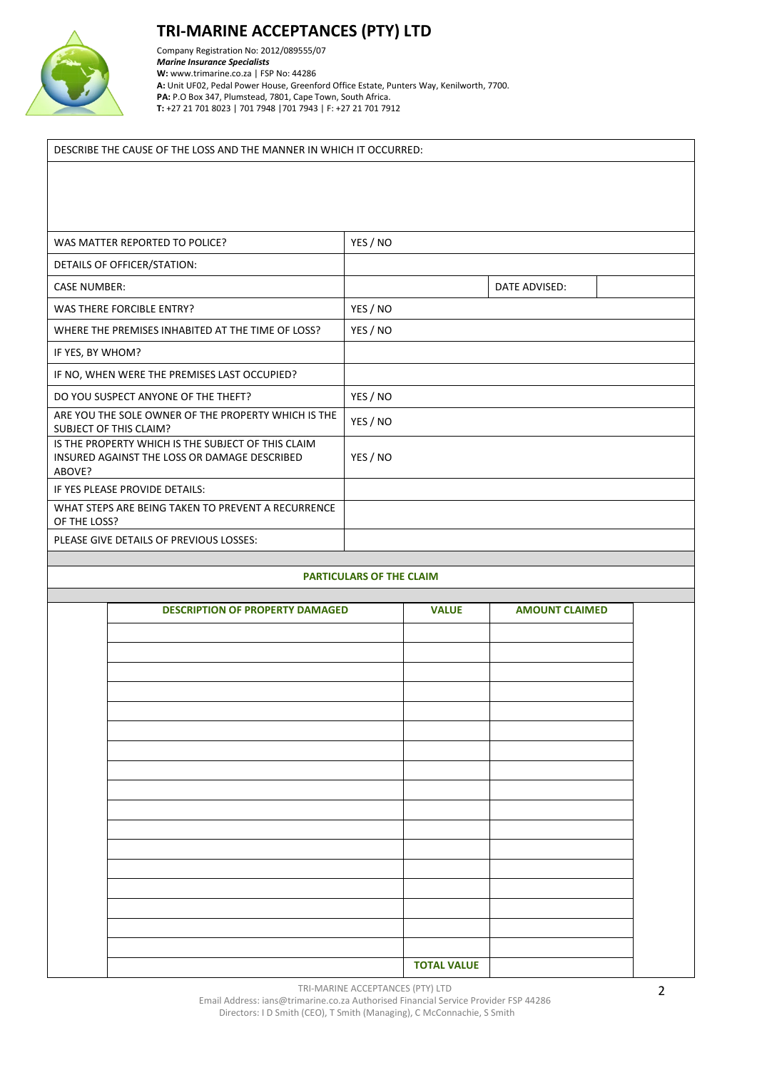

# **TRI-MARINE ACCEPTANCES (PTY) LTD**

Company Registration No: 2012/089555/07 *Marine Insurance Specialists*  **W:** [www.trimarine.co.za](http://www.trimarine.co.za/) | FSP No: 44286 **A:** Unit UF02, Pedal Power House, Greenford Office Estate, Punters Way, Kenilworth, 7700. **PA:** P.O Box 347, Plumstead, 7801, Cape Town, South Africa. **T:** +27 21 701 8023 | 701 7948 |701 7943 | F: +27 21 701 7912

#### DESCRIBE THE CAUSE OF THE LOSS AND THE MANNER IN WHICH IT OCCURRED:

| WAS MATTER REPORTED TO POLICE?                                                                               | YES / NO |               |  |
|--------------------------------------------------------------------------------------------------------------|----------|---------------|--|
| DETAILS OF OFFICER/STATION:                                                                                  |          |               |  |
| <b>CASE NUMBER:</b>                                                                                          |          | DATE ADVISED: |  |
| <b>WAS THERE FORCIBLE ENTRY?</b>                                                                             | YES / NO |               |  |
| WHERE THE PREMISES INHABITED AT THE TIME OF LOSS?                                                            | YES / NO |               |  |
| IF YES, BY WHOM?                                                                                             |          |               |  |
| IF NO, WHEN WERE THE PREMISES LAST OCCUPIED?                                                                 |          |               |  |
| DO YOU SUSPECT ANYONE OF THE THEFT?                                                                          | YES / NO |               |  |
| ARE YOU THE SOLE OWNER OF THE PROPERTY WHICH IS THE<br><b>SUBJECT OF THIS CLAIM?</b>                         | YES / NO |               |  |
| IS THE PROPERTY WHICH IS THE SUBJECT OF THIS CLAIM<br>INSURED AGAINST THE LOSS OR DAMAGE DESCRIBED<br>ABOVE? | YES / NO |               |  |
| IF YES PLEASE PROVIDE DETAILS:                                                                               |          |               |  |
| WHAT STEPS ARE BEING TAKEN TO PREVENT A RECURRENCE<br>OF THE LOSS?                                           |          |               |  |
| PLEASE GIVE DETAILS OF PREVIOUS LOSSES:                                                                      |          |               |  |

#### **PARTICULARS OF THE CLAIM**

| <b>DESCRIPTION OF PROPERTY DAMAGED</b> | <b>VALUE</b>       | <b>AMOUNT CLAIMED</b> |  |
|----------------------------------------|--------------------|-----------------------|--|
|                                        |                    |                       |  |
|                                        |                    |                       |  |
|                                        |                    |                       |  |
|                                        |                    |                       |  |
|                                        |                    |                       |  |
|                                        |                    |                       |  |
|                                        |                    |                       |  |
|                                        |                    |                       |  |
|                                        |                    |                       |  |
|                                        |                    |                       |  |
|                                        |                    |                       |  |
|                                        |                    |                       |  |
|                                        |                    |                       |  |
|                                        |                    |                       |  |
|                                        |                    |                       |  |
|                                        |                    |                       |  |
|                                        |                    |                       |  |
|                                        |                    |                       |  |
|                                        |                    |                       |  |
|                                        |                    |                       |  |
|                                        |                    |                       |  |
|                                        | <b>TOTAL VALUE</b> |                       |  |

TRI-MARINE ACCEPTANCES (PTY) LTD

Email Address: ians@trimarine.co.za Authorised Financial Service Provider FSP 44286 Directors: I D Smith (CEO), T Smith (Managing), C McConnachie, S Smith